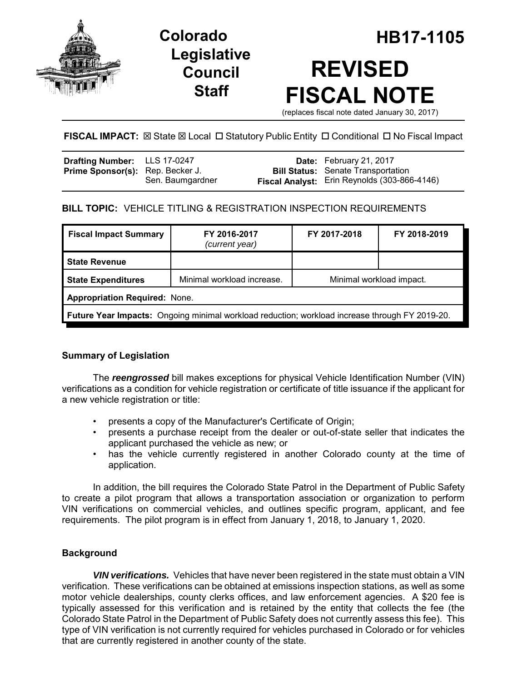

**Legislative Council Staff**

# **Colorado HB17-1105 REVISED FISCAL NOTE**

(replaces fiscal note dated January 30, 2017)

# **FISCAL IMPACT:** ⊠ State ⊠ Local □ Statutory Public Entity □ Conditional □ No Fiscal Impact

| <b>Drafting Number:</b> LLS 17-0247     |                  | Date: February 21, 2017                      |
|-----------------------------------------|------------------|----------------------------------------------|
| <b>Prime Sponsor(s):</b> Rep. Becker J. |                  | <b>Bill Status:</b> Senate Transportation    |
|                                         | Sen. Baumgardner | Fiscal Analyst: Erin Reynolds (303-866-4146) |

## **BILL TOPIC:** VEHICLE TITLING & REGISTRATION INSPECTION REQUIREMENTS

| <b>Fiscal Impact Summary</b>                                                                          | FY 2016-2017<br>(current year) | FY 2017-2018             | FY 2018-2019 |  |  |  |
|-------------------------------------------------------------------------------------------------------|--------------------------------|--------------------------|--------------|--|--|--|
| <b>State Revenue</b>                                                                                  |                                |                          |              |  |  |  |
| <b>State Expenditures</b>                                                                             | Minimal workload increase.     | Minimal workload impact. |              |  |  |  |
| <b>Appropriation Required: None.</b>                                                                  |                                |                          |              |  |  |  |
| <b>Future Year Impacts:</b> Ongoing minimal workload reduction; workload increase through FY 2019-20. |                                |                          |              |  |  |  |

## **Summary of Legislation**

The *reengrossed* bill makes exceptions for physical Vehicle Identification Number (VIN) verifications as a condition for vehicle registration or certificate of title issuance if the applicant for a new vehicle registration or title:

- presents a copy of the Manufacturer's Certificate of Origin;
- presents a purchase receipt from the dealer or out-of-state seller that indicates the applicant purchased the vehicle as new; or
- has the vehicle currently registered in another Colorado county at the time of application.

In addition, the bill requires the Colorado State Patrol in the Department of Public Safety to create a pilot program that allows a transportation association or organization to perform VIN verifications on commercial vehicles, and outlines specific program, applicant, and fee requirements. The pilot program is in effect from January 1, 2018, to January 1, 2020.

## **Background**

*VIN verifications.* Vehicles that have never been registered in the state must obtain a VIN verification. These verifications can be obtained at emissions inspection stations, as well as some motor vehicle dealerships, county clerks offices, and law enforcement agencies. A \$20 fee is typically assessed for this verification and is retained by the entity that collects the fee (the Colorado State Patrol in the Department of Public Safety does not currently assess this fee). This type of VIN verification is not currently required for vehicles purchased in Colorado or for vehicles that are currently registered in another county of the state.